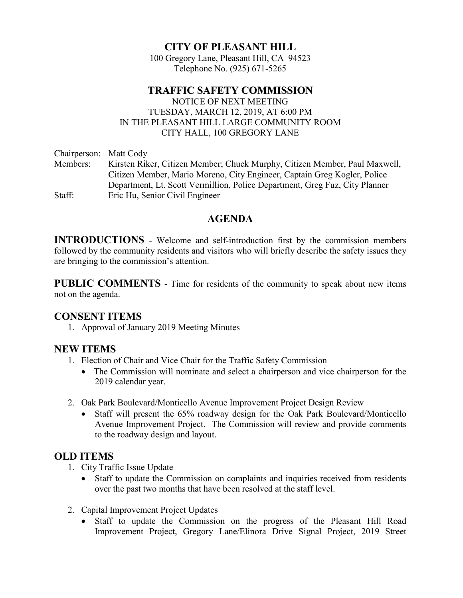## CITY OF PLEASANT HILL

100 Gregory Lane, Pleasant Hill, CA 94523 Telephone No. (925) 671-5265

# TRAFFIC SAFETY COMMISSION

 NOTICE OF NEXT MEETING TUESDAY, MARCH 12, 2019, AT 6:00 PM IN THE PLEASANT HILL LARGE COMMUNITY ROOM CITY HALL, 100 GREGORY LANE

Chairperson: Matt Cody Members: Kirsten Riker, Citizen Member; Chuck Murphy, Citizen Member, Paul Maxwell, Citizen Member, Mario Moreno, City Engineer, Captain Greg Kogler, Police Department, Lt. Scott Vermillion, Police Department, Greg Fuz, City Planner Staff: Eric Hu, Senior Civil Engineer

## AGENDA

INTRODUCTIONS - Welcome and self-introduction first by the commission members followed by the community residents and visitors who will briefly describe the safety issues they are bringing to the commission's attention.

PUBLIC COMMENTS - Time for residents of the community to speak about new items not on the agenda.

#### CONSENT ITEMS

1. Approval of January 2019 Meeting Minutes

## NEW ITEMS

- 1. Election of Chair and Vice Chair for the Traffic Safety Commission
	- The Commission will nominate and select a chairperson and vice chairperson for the 2019 calendar year.
- 2. Oak Park Boulevard/Monticello Avenue Improvement Project Design Review
	- Staff will present the 65% roadway design for the Oak Park Boulevard/Monticello Avenue Improvement Project. The Commission will review and provide comments to the roadway design and layout.

## OLD ITEMS

- 1. City Traffic Issue Update
	- Staff to update the Commission on complaints and inquiries received from residents over the past two months that have been resolved at the staff level.
- 2. Capital Improvement Project Updates
	- Staff to update the Commission on the progress of the Pleasant Hill Road Improvement Project, Gregory Lane/Elinora Drive Signal Project, 2019 Street